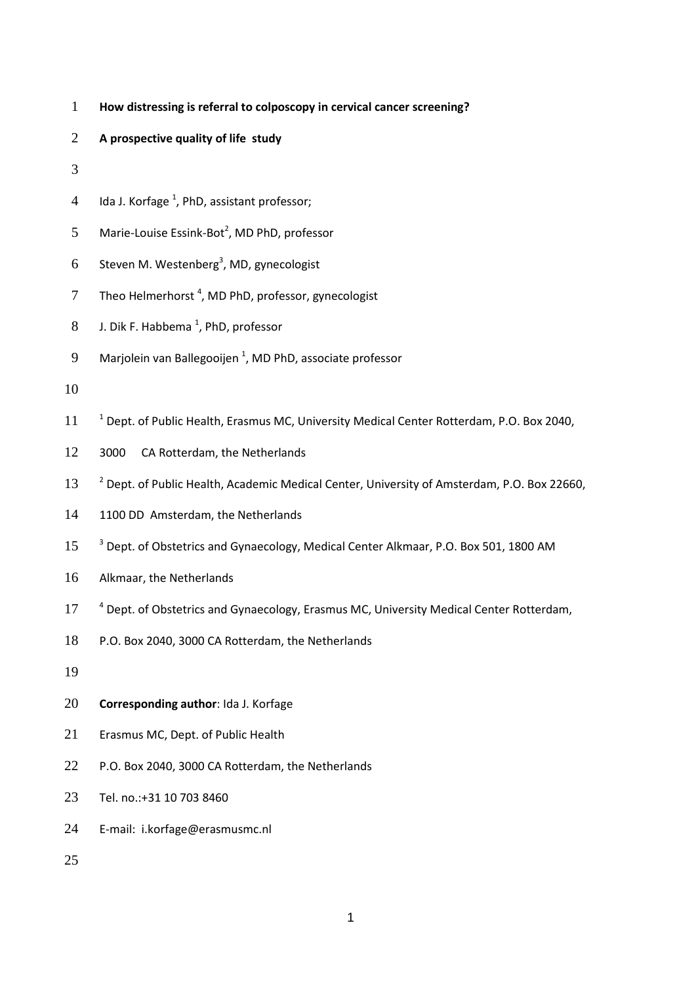- **How distressing is referral to colposcopy in cervical cancer screening?**
- **A prospective quality of life study**
- 
- 4 Ida J. Korfage<sup>1</sup>, PhD, assistant professor;
- 5 Marie-Louise Essink-Bot<sup>2</sup>, MD PhD, professor
- 6 Steven M. Westenberg<sup>3</sup>, MD, gynecologist
- Theo Helmerhorst<sup>4</sup>, MD PhD, professor, gynecologist
- 8 J. Dik F. Habbema<sup>1</sup>, PhD, professor
- 9 Marjolein van Ballegooijen<sup>1</sup>, MD PhD, associate professor
- 
- 11 <sup>1</sup> Dept. of Public Health, Erasmus MC, University Medical Center Rotterdam, P.O. Box 2040,
- 3000 CA Rotterdam, the Netherlands
- <sup>2</sup> Dept. of Public Health, Academic Medical Center, University of Amsterdam, P.O. Box 22660,
- 14 1100 DD Amsterdam, the Netherlands
- <sup>3</sup> Dept. of Obstetrics and Gynaecology, Medical Center Alkmaar, P.O. Box 501, 1800 AM
- Alkmaar, the Netherlands
- 17 <sup>4</sup> Dept. of Obstetrics and Gynaecology, Erasmus MC, University Medical Center Rotterdam,
- P.O. Box 2040, 3000 CA Rotterdam, the Netherlands
- 
- **Corresponding author**: Ida J. Korfage
- Erasmus MC, Dept. of Public Health
- P.O. Box 2040, 3000 CA Rotterdam, the Netherlands
- Tel. no.:+31 10 703 8460
- E-mail: i.korfage@erasmusmc.nl
-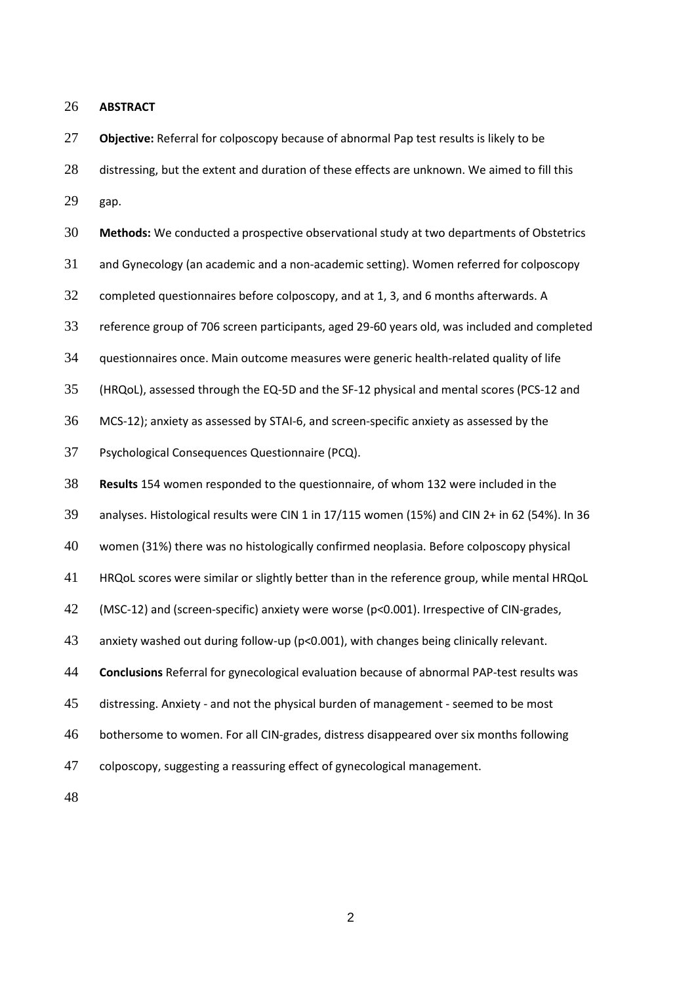**ABSTRACT**

 **Objective:** Referral for colposcopy because of abnormal Pap test results is likely to be 28 distressing, but the extent and duration of these effects are unknown. We aimed to fill this gap.

**Methods:** We conducted a prospective observational study at two departments of Obstetrics

and Gynecology (an academic and a non-academic setting). Women referred for colposcopy

completed questionnaires before colposcopy, and at 1, 3, and 6 months afterwards. A

reference group of 706 screen participants, aged 29-60 years old, was included and completed

questionnaires once. Main outcome measures were generic health-related quality of life

(HRQoL), assessed through the EQ-5D and the SF-12 physical and mental scores (PCS-12 and

MCS-12); anxiety as assessed by STAI-6, and screen-specific anxiety as assessed by the

Psychological Consequences Questionnaire (PCQ).

**Results** 154 women responded to the questionnaire, of whom 132 were included in the

analyses. Histological results were CIN 1 in 17/115 women (15%) and CIN 2+ in 62 (54%). In 36

women (31%) there was no histologically confirmed neoplasia. Before colposcopy physical

HRQoL scores were similar or slightly better than in the reference group, while mental HRQoL

(MSC-12) and (screen-specific) anxiety were worse (p<0.001). Irrespective of CIN-grades,

anxiety washed out during follow-up (p<0.001), with changes being clinically relevant.

**Conclusions** Referral for gynecological evaluation because of abnormal PAP-test results was

distressing. Anxiety - and not the physical burden of management - seemed to be most

bothersome to women. For all CIN-grades, distress disappeared over six months following

colposcopy, suggesting a reassuring effect of gynecological management.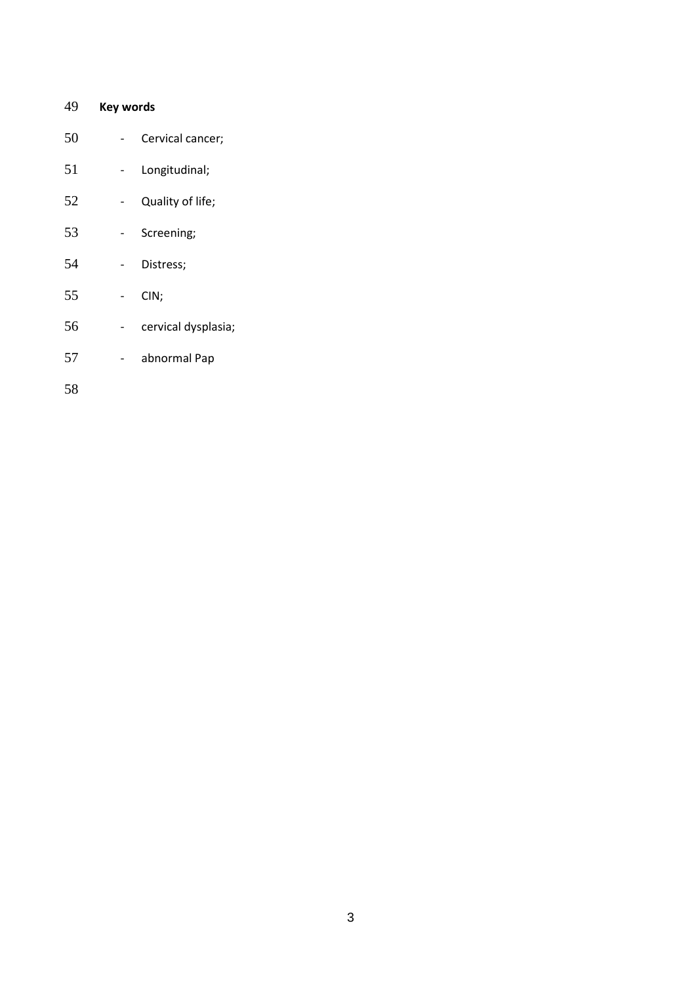# **Key words** - Cervical cancer; - Longitudinal; - Quality of life; - Screening; - Distress; - CIN; - cervical dysplasia; - abnormal Pap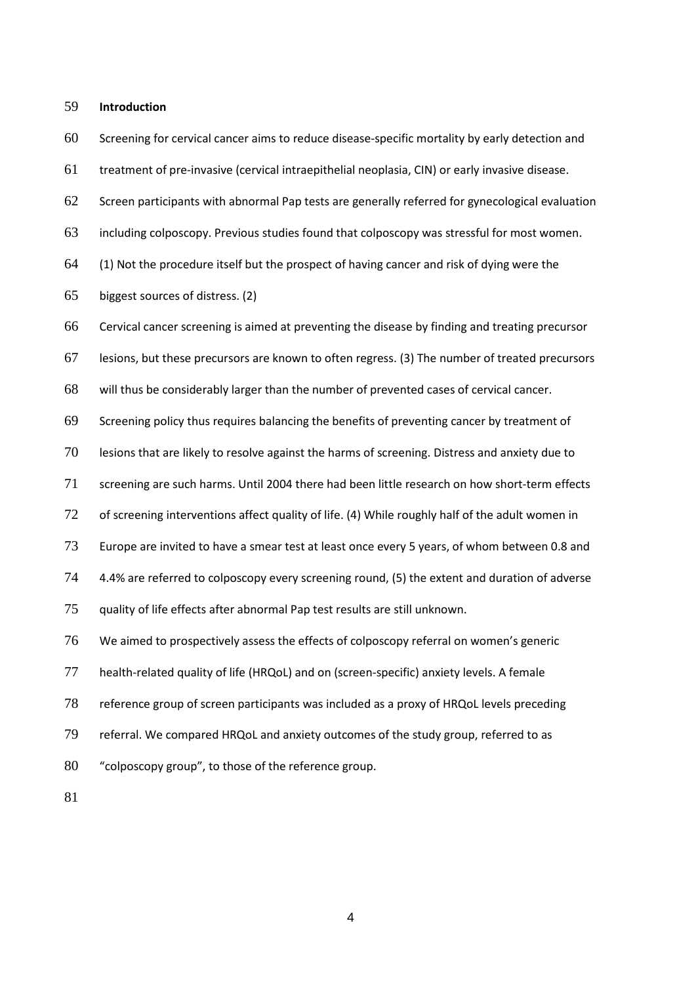### **Introduction**

 Screening for cervical cancer aims to reduce disease-specific mortality by early detection and treatment of pre-invasive (cervical intraepithelial neoplasia, CIN) or early invasive disease. Screen participants with abnormal Pap tests are generally referred for gynecological evaluation including colposcopy. Previous studies found that colposcopy was stressful for most women. [\(1\)](#page-18-0) Not the procedure itself but the prospect of having cancer and risk of dying were the biggest sources of distress. [\(2\)](#page-18-1) Cervical cancer screening is aimed at preventing the disease by finding and treating precursor lesions, but these precursors are known to often regress. [\(3\)](#page-18-2) The number of treated precursors will thus be considerably larger than the number of prevented cases of cervical cancer. Screening policy thus requires balancing the benefits of preventing cancer by treatment of lesions that are likely to resolve against the harms of screening. Distress and anxiety due to screening are such harms. Until 2004 there had been little research on how short-term effects of screening interventions affect quality of life. [\(4\)](#page-18-3) While roughly half of the adult women in Europe are invited to have a smear test at least once every 5 years, of whom between 0.8 and 74 4.4% are referred to colposcopy every screening round, [\(5\)](#page-18-4) the extent and duration of adverse quality of life effects after abnormal Pap test results are still unknown. We aimed to prospectively assess the effects of colposcopy referral on women's generic health-related quality of life (HRQoL) and on (screen-specific) anxiety levels. A female reference group of screen participants was included as a proxy of HRQoL levels preceding referral. We compared HRQoL and anxiety outcomes of the study group, referred to as "colposcopy group", to those of the reference group.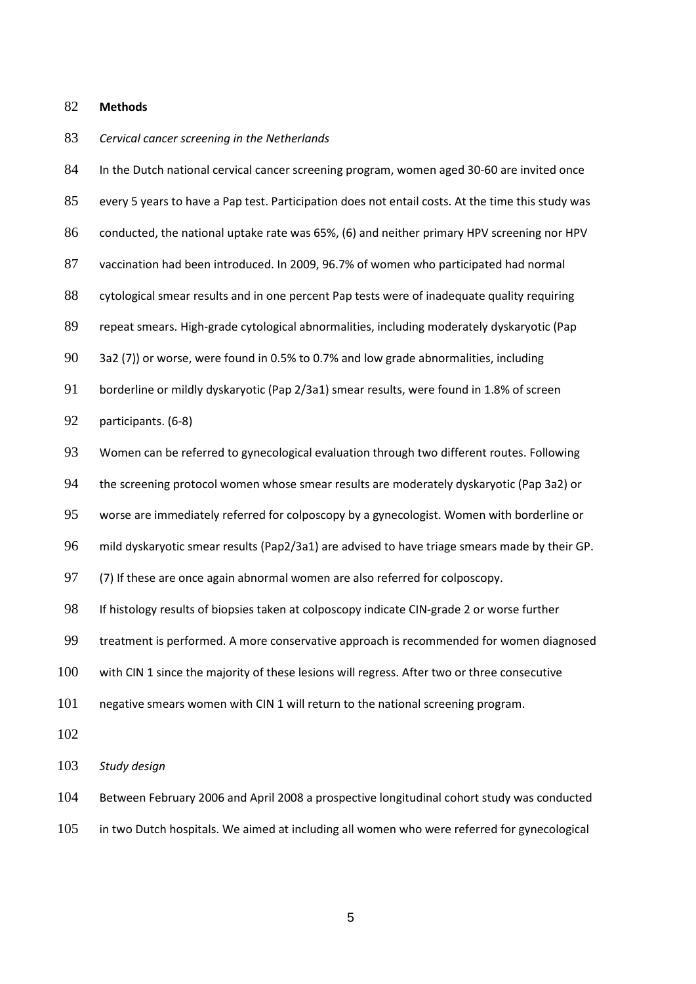#### **Methods**

#### *Cervical cancer screening in the Netherlands*

 In the Dutch national cervical cancer screening program, women aged 30-60 are invited once every 5 years to have a Pap test. Participation does not entail costs. At the time this study was conducted, the national uptake rate was 65%, [\(6\)](#page-18-5) and neither primary HPV screening nor HPV vaccination had been introduced. In 2009, 96.7% of women who participated had normal 88 cytological smear results and in one percent Pap tests were of inadequate quality requiring repeat smears. High-grade cytological abnormalities, including moderately dyskaryotic (Pap 3a2 [\(7\)](#page-18-6)) or worse, were found in 0.5% to 0.7% and low grade abnormalities, including borderline or mildly dyskaryotic (Pap 2/3a1) smear results, were found in 1.8% of screen participants. [\(6-8\)](#page-18-5) Women can be referred to gynecological evaluation through two different routes. Following the screening protocol women whose smear results are moderately dyskaryotic (Pap 3a2) or worse are immediately referred for colposcopy by a gynecologist. Women with borderline or mild dyskaryotic smear results (Pap2/3a1) are advised to have triage smears made by their GP. [\(7\)](#page-18-6) If these are once again abnormal women are also referred for colposcopy. 98 If histology results of biopsies taken at colposcopy indicate CIN-grade 2 or worse further treatment is performed. A more conservative approach is recommended for women diagnosed with CIN 1 since the majority of these lesions will regress. After two or three consecutive negative smears women with CIN 1 will return to the national screening program. *Study design* Between February 2006 and April 2008 a prospective longitudinal cohort study was conducted in two Dutch hospitals. We aimed at including all women who were referred for gynecological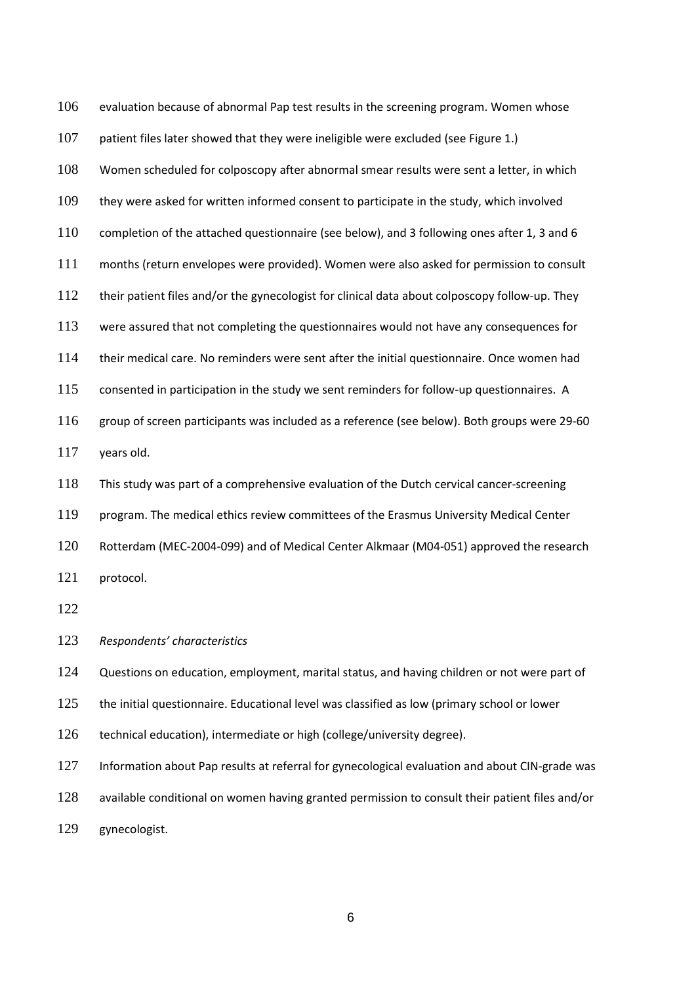evaluation because of abnormal Pap test results in the screening program. Women whose 107 patient files later showed that they were ineligible were excluded (see Figure 1.) Women scheduled for colposcopy after abnormal smear results were sent a letter, in which they were asked for written informed consent to participate in the study, which involved completion of the attached questionnaire (see below), and 3 following ones after 1, 3 and 6 months (return envelopes were provided). Women were also asked for permission to consult 112 their patient files and/or the gynecologist for clinical data about colposcopy follow-up. They were assured that not completing the questionnaires would not have any consequences for their medical care. No reminders were sent after the initial questionnaire. Once women had consented in participation in the study we sent reminders for follow-up questionnaires. A group of screen participants was included as a reference (see below). Both groups were 29-60 years old. This study was part of a comprehensive evaluation of the Dutch cervical cancer-screening program. The medical ethics review committees of the Erasmus University Medical Center Rotterdam (MEC-2004-099) and of Medical Center Alkmaar (M04-051) approved the research protocol.

*Respondents' characteristics*

Questions on education, employment, marital status, and having children or not were part of

125 the initial questionnaire. Educational level was classified as low (primary school or lower

technical education), intermediate or high (college/university degree).

Information about Pap results at referral for gynecological evaluation and about CIN-grade was

available conditional on women having granted permission to consult their patient files and/or

gynecologist.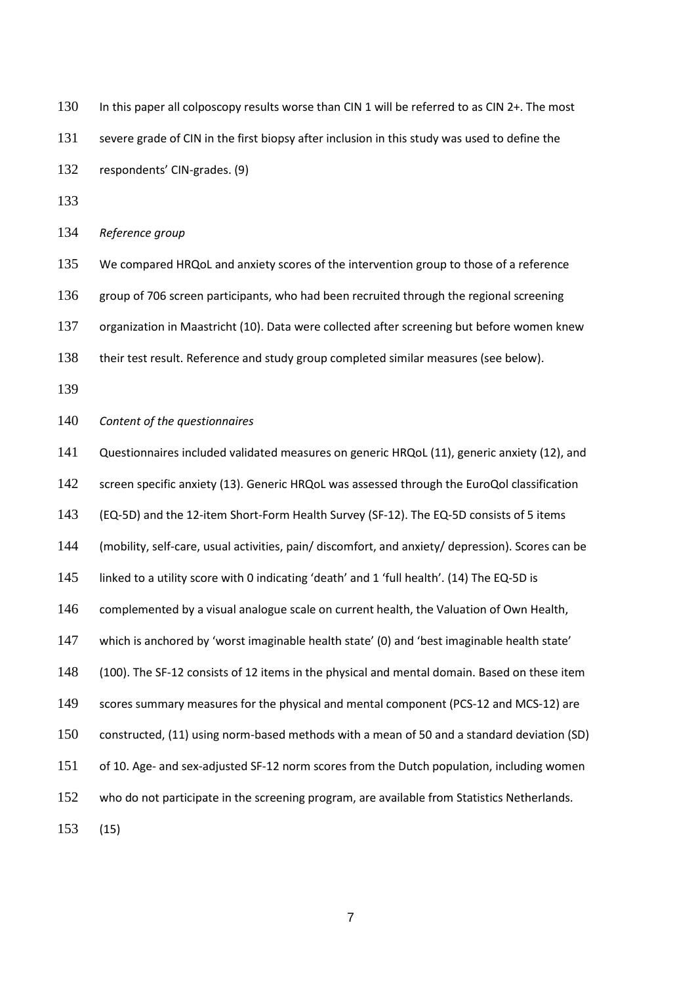| 130 | In this paper all colposcopy results worse than CIN 1 will be referred to as CIN 2+. The most |
|-----|-----------------------------------------------------------------------------------------------|
| 131 | severe grade of CIN in the first biopsy after inclusion in this study was used to define the  |
| 132 | respondents' CIN-grades. (9)                                                                  |
| 133 |                                                                                               |
| 134 | Reference group                                                                               |

 We compared HRQoL and anxiety scores of the intervention group to those of a reference 136 group of 706 screen participants, who had been recruited through the regional screening organization in Maastricht [\(10\)](#page-18-8). Data were collected after screening but before women knew their test result. Reference and study group completed similar measures (see below).

*Content of the questionnaires*

 Questionnaires included validated measures on generic HRQoL [\(11\)](#page-18-9), generic anxiety [\(12\)](#page-19-0), and 142 screen specific anxiety [\(13\)](#page-19-1). Generic HRQoL was assessed through the EuroQol classification (EQ-5D) and the 12-item Short-Form Health Survey (SF-12). The EQ-5D consists of 5 items (mobility, self-care, usual activities, pain/ discomfort, and anxiety/ depression). Scores can be linked to a utility score with 0 indicating 'death' and 1 'full health'. [\(14\)](#page-19-2) The EQ-5D is complemented by a visual analogue scale on current health, the Valuation of Own Health, which is anchored by 'worst imaginable health state' (0) and 'best imaginable health state' (100). The SF-12 consists of 12 items in the physical and mental domain. Based on these item scores summary measures for the physical and mental component (PCS-12 and MCS-12) are constructed, [\(11\)](#page-18-9) using norm-based methods with a mean of 50 and a standard deviation (SD) of 10. Age- and sex-adjusted SF-12 norm scores from the Dutch population, including women 152 who do not participate in the screening program, are available from Statistics Netherlands.

[\(15\)](#page-19-3)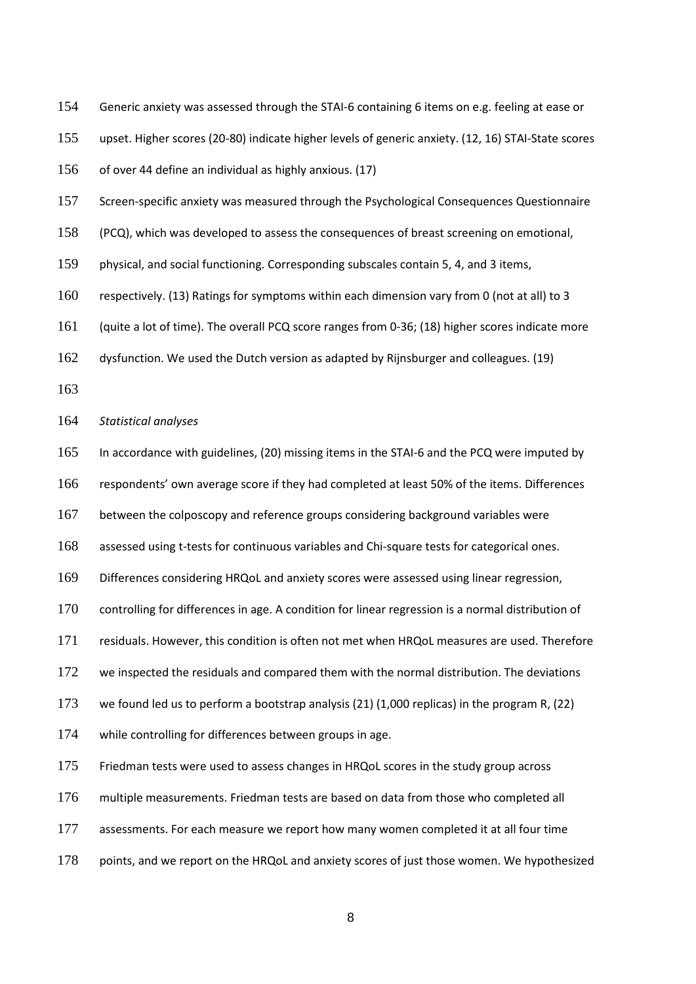Generic anxiety was assessed through the STAI-6 containing 6 items on e.g. feeling at ease or

upset. Higher scores (20-80) indicate higher levels of generic anxiety. [\(12,](#page-19-0) [16\)](#page-19-4) STAI-State scores

of over 44 define an individual as highly anxious. [\(17\)](#page-19-5)

Screen-specific anxiety was measured through the Psychological Consequences Questionnaire

(PCQ), which was developed to assess the consequences of breast screening on emotional,

physical, and social functioning. Corresponding subscales contain 5, 4, and 3 items,

respectively. [\(13\)](#page-19-1) Ratings for symptoms within each dimension vary from 0 (not at all) to 3

(quite a lot of time). The overall PCQ score ranges from 0-36; [\(18\)](#page-19-6) higher scores indicate more

dysfunction. We used the Dutch version as adapted by Rijnsburger and colleagues. [\(19\)](#page-19-7)

*Statistical analyses*

In accordance with guidelines, [\(20\)](#page-19-8) missing items in the STAI-6 and the PCQ were imputed by

respondents' own average score if they had completed at least 50% of the items. Differences

between the colposcopy and reference groups considering background variables were

assessed using t-tests for continuous variables and Chi-square tests for categorical ones.

Differences considering HRQoL and anxiety scores were assessed using linear regression,

controlling for differences in age. A condition for linear regression is a normal distribution of

residuals. However, this condition is often not met when HRQoL measures are used. Therefore

172 we inspected the residuals and compared them with the normal distribution. The deviations

we found led us to perform a bootstrap analysis [\(21\)](#page-19-9) (1,000 replicas) in the program R, [\(22\)](#page-19-10)

while controlling for differences between groups in age.

Friedman tests were used to assess changes in HRQoL scores in the study group across

multiple measurements. Friedman tests are based on data from those who completed all

assessments. For each measure we report how many women completed it at all four time

points, and we report on the HRQoL and anxiety scores of just those women. We hypothesized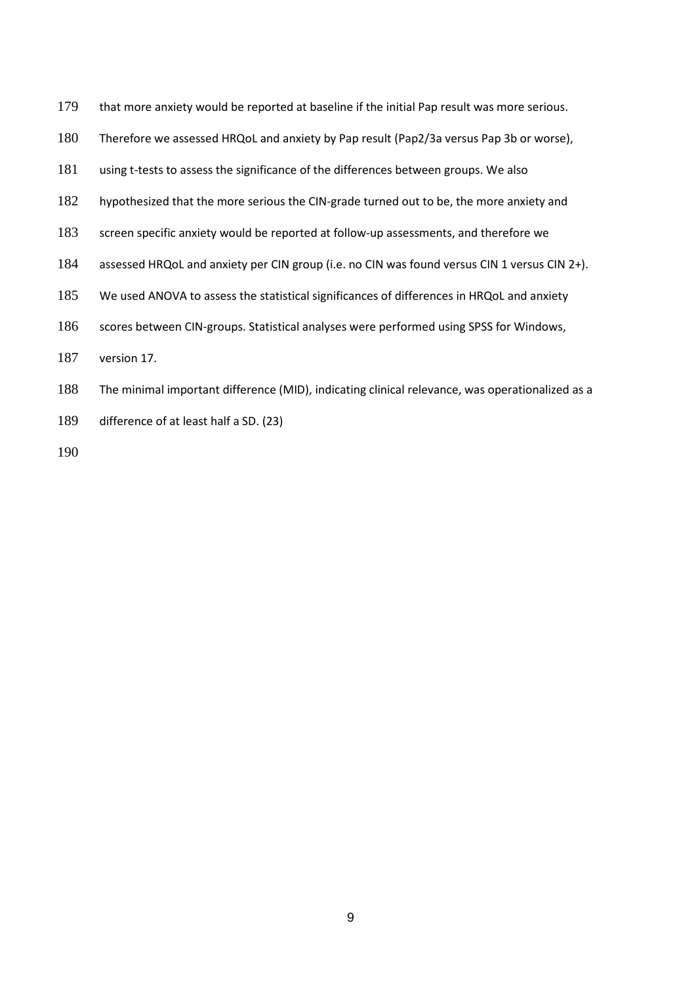| 179 | that more anxiety would be reported at baseline if the initial Pap result was more serious.            |
|-----|--------------------------------------------------------------------------------------------------------|
| 180 | Therefore we assessed HRQoL and anxiety by Pap result (Pap2/3a versus Pap 3b or worse),                |
| 181 | using t-tests to assess the significance of the differences between groups. We also                    |
| 182 | hypothesized that the more serious the CIN-grade turned out to be, the more anxiety and                |
| 183 | screen specific anxiety would be reported at follow-up assessments, and therefore we                   |
| 184 | assessed HRQoL and anxiety per CIN group (i.e. no CIN was found versus CIN 1 versus CIN 2+).           |
| 185 | We used ANOVA to assess the statistical significances of differences in HRQoL and anxiety              |
| 186 | scores between CIN-groups. Statistical analyses were performed using SPSS for Windows,                 |
| 187 | version 17.                                                                                            |
| 100 | $\tau$ le e petretre el trece enteret, difference el fMAID). In disentir el altrete di peter en el con |

- The minimal important difference (MID), indicating clinical relevance, was operationalized as a
- difference of at least half a SD. [\(23\)](#page-19-11)
-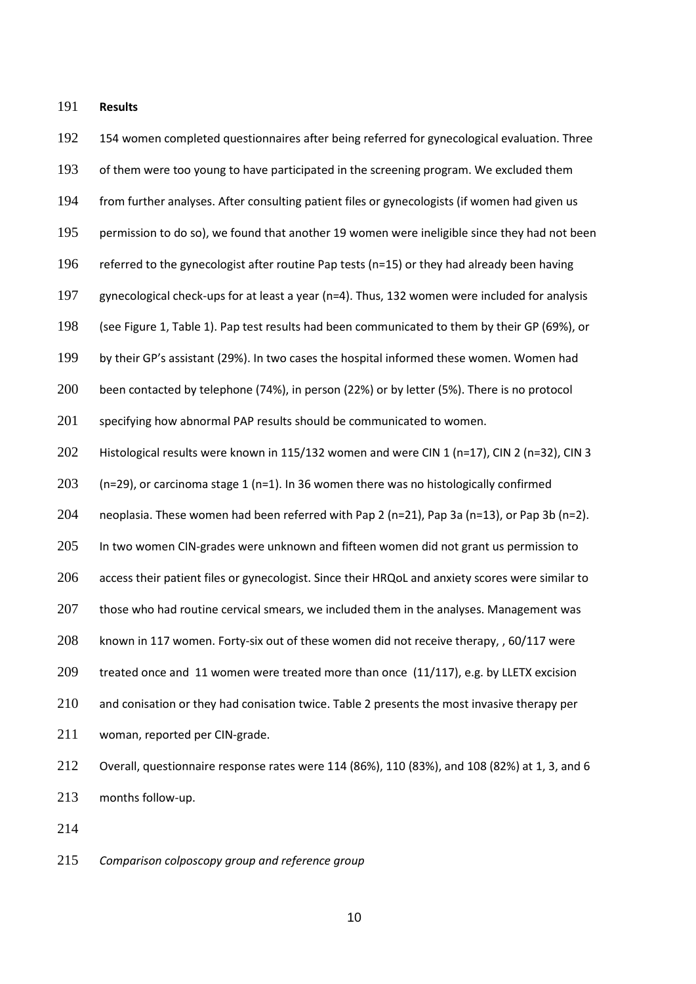**Results**

192 154 women completed questionnaires after being referred for gynecological evaluation. Three of them were too young to have participated in the screening program. We excluded them from further analyses. After consulting patient files or gynecologists (if women had given us 195 permission to do so), we found that another 19 women were ineligible since they had not been referred to the gynecologist after routine Pap tests (n=15) or they had already been having gynecological check-ups for at least a year (n=4). Thus, 132 women were included for analysis (see Figure 1, Table 1). Pap test results had been communicated to them by their GP (69%), or by their GP's assistant (29%). In two cases the hospital informed these women. Women had 200 been contacted by telephone (74%), in person (22%) or by letter (5%). There is no protocol 201 specifying how abnormal PAP results should be communicated to women. Histological results were known in 115/132 women and were CIN 1 (n=17), CIN 2 (n=32), CIN 3 203 (n=29), or carcinoma stage 1 (n=1). In 36 women there was no histologically confirmed neoplasia. These women had been referred with Pap 2 (n=21), Pap 3a (n=13), or Pap 3b (n=2). 205 In two women CIN-grades were unknown and fifteen women did not grant us permission to 206 access their patient files or gynecologist. Since their HRQoL and anxiety scores were similar to 207 those who had routine cervical smears, we included them in the analyses. Management was known in 117 women. Forty-six out of these women did not receive therapy, , 60/117 were treated once and 11 women were treated more than once (11/117), e.g. by LLETX excision 210 and conisation or they had conisation twice. Table 2 presents the most invasive therapy per woman, reported per CIN-grade. Overall, questionnaire response rates were 114 (86%), 110 (83%), and 108 (82%) at 1, 3, and 6 months follow-up.

*Comparison colposcopy group and reference group*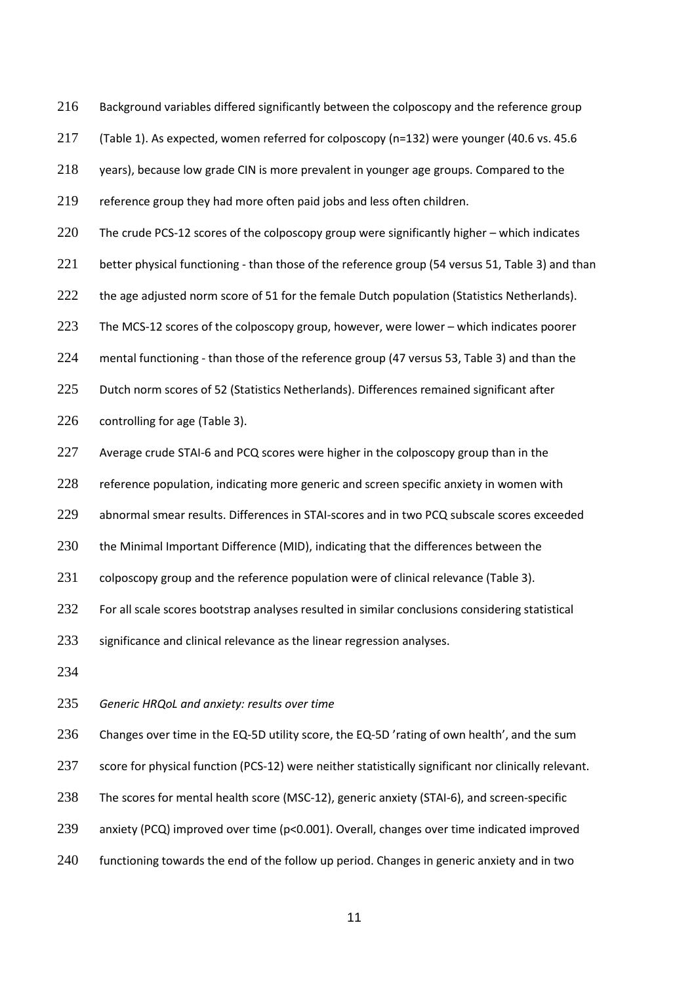216 Background variables differed significantly between the colposcopy and the reference group

217 (Table 1). As expected, women referred for colposcopy (n=132) were younger (40.6 vs. 45.6

218 years), because low grade CIN is more prevalent in younger age groups. Compared to the

219 reference group they had more often paid jobs and less often children.

220 The crude PCS-12 scores of the colposcopy group were significantly higher – which indicates

221 better physical functioning - than those of the reference group (54 versus 51, Table 3) and than

222 the age adjusted norm score of 51 for the female Dutch population (Statistics Netherlands).

223 The MCS-12 scores of the colposcopy group, however, were lower – which indicates poorer

224 mental functioning - than those of the reference group (47 versus 53, Table 3) and than the

225 Dutch norm scores of 52 (Statistics Netherlands). Differences remained significant after

226 controlling for age (Table 3).

227 Average crude STAI-6 and PCQ scores were higher in the colposcopy group than in the

228 reference population, indicating more generic and screen specific anxiety in women with

229 abnormal smear results. Differences in STAI-scores and in two PCQ subscale scores exceeded

230 the Minimal Important Difference (MID), indicating that the differences between the

231 colposcopy group and the reference population were of clinical relevance (Table 3).

232 For all scale scores bootstrap analyses resulted in similar conclusions considering statistical

233 significance and clinical relevance as the linear regression analyses.

234

235 *Generic HRQoL and anxiety: results over time*

236 Changes over time in the EQ-5D utility score, the EQ-5D 'rating of own health', and the sum

237 score for physical function (PCS-12) were neither statistically significant nor clinically relevant.

- 238 The scores for mental health score (MSC-12), generic anxiety (STAI-6), and screen-specific
- 239 anxiety (PCQ) improved over time (p<0.001). Overall, changes over time indicated improved
- 240 functioning towards the end of the follow up period. Changes in generic anxiety and in two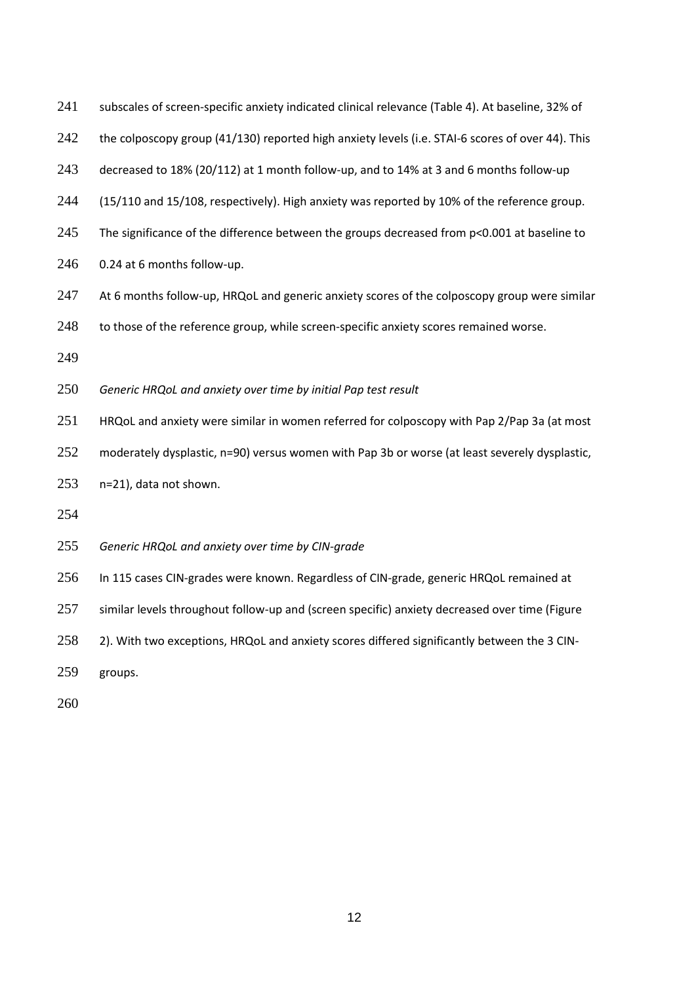| 241 |  |  |  |  | subscales of screen-specific anxiety indicated clinical relevance (Table 4). At baseline, 32% of |  |
|-----|--|--|--|--|--------------------------------------------------------------------------------------------------|--|
|-----|--|--|--|--|--------------------------------------------------------------------------------------------------|--|

242 the colposcopy group (41/130) reported high anxiety levels (i.e. STAI-6 scores of over 44). This

decreased to 18% (20/112) at 1 month follow-up, and to 14% at 3 and 6 months follow-up

(15/110 and 15/108, respectively). High anxiety was reported by 10% of the reference group.

- 245 The significance of the difference between the groups decreased from p<0.001 at baseline to
- 0.24 at 6 months follow-up.
- 247 At 6 months follow-up, HRQoL and generic anxiety scores of the colposcopy group were similar
- 248 to those of the reference group, while screen-specific anxiety scores remained worse.
- 

*Generic HRQoL and anxiety over time by initial Pap test result*

HRQoL and anxiety were similar in women referred for colposcopy with Pap 2/Pap 3a (at most

252 moderately dysplastic, n=90) versus women with Pap 3b or worse (at least severely dysplastic,

- n=21), data not shown.
- 

*Generic HRQoL and anxiety over time by CIN-grade*

In 115 cases CIN-grades were known. Regardless of CIN-grade, generic HRQoL remained at

257 similar levels throughout follow-up and (screen specific) anxiety decreased over time (Figure

258 2). With two exceptions, HRQoL and anxiety scores differed significantly between the 3 CIN-

groups.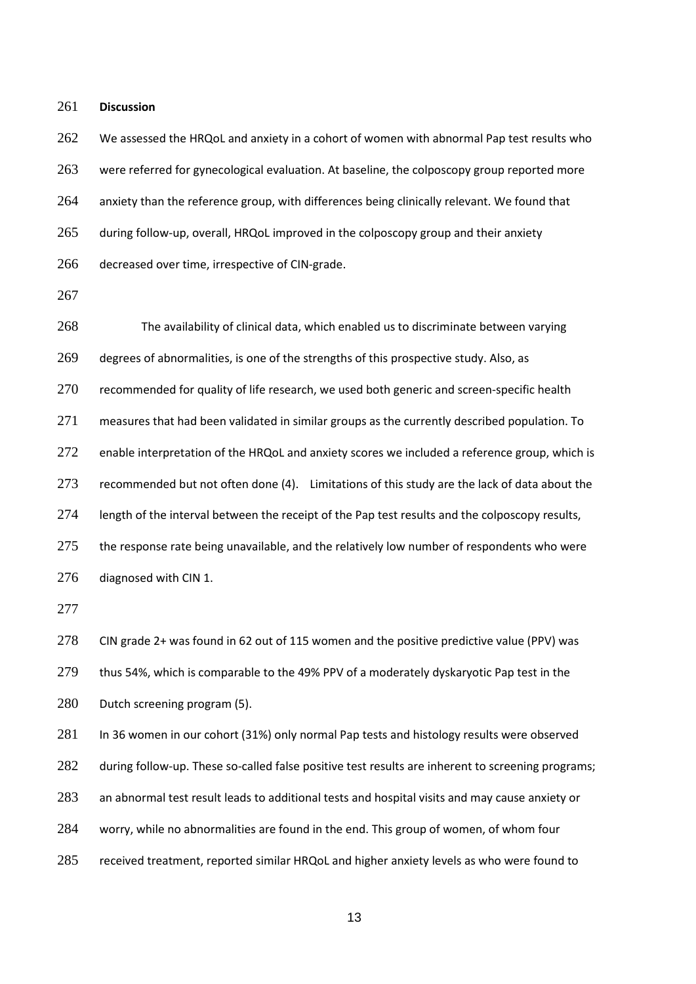261 **Discussion**

262 We assessed the HRQoL and anxiety in a cohort of women with abnormal Pap test results who 263 were referred for gynecological evaluation. At baseline, the colposcopy group reported more 264 anxiety than the reference group, with differences being clinically relevant. We found that 265 during follow-up, overall, HRQoL improved in the colposcopy group and their anxiety 266 decreased over time, irrespective of CIN-grade.

267

268 The availability of clinical data, which enabled us to discriminate between varying 269 degrees of abnormalities, is one of the strengths of this prospective study. Also, as 270 recommended for quality of life research, we used both generic and screen-specific health 271 measures that had been validated in similar groups as the currently described population. To 272 enable interpretation of the HRQoL and anxiety scores we included a reference group, which is 273 recommended but not often done [\(4\)](#page-18-3). Limitations of this study are the lack of data about the 274 length of the interval between the receipt of the Pap test results and the colposcopy results, 275 the response rate being unavailable, and the relatively low number of respondents who were 276 diagnosed with CIN 1.

277

278 CIN grade 2+ was found in 62 out of 115 women and the positive predictive value (PPV) was 279 thus 54%, which is comparable to the 49% PPV of a moderately dyskaryotic Pap test in the 280 Dutch screening program [\(5\)](#page-18-4).

281 In 36 women in our cohort (31%) only normal Pap tests and histology results were observed 282 during follow-up. These so-called false positive test results are inherent to screening programs; 283 an abnormal test result leads to additional tests and hospital visits and may cause anxiety or 284 worry, while no abnormalities are found in the end. This group of women, of whom four 285 received treatment, reported similar HRQoL and higher anxiety levels as who were found to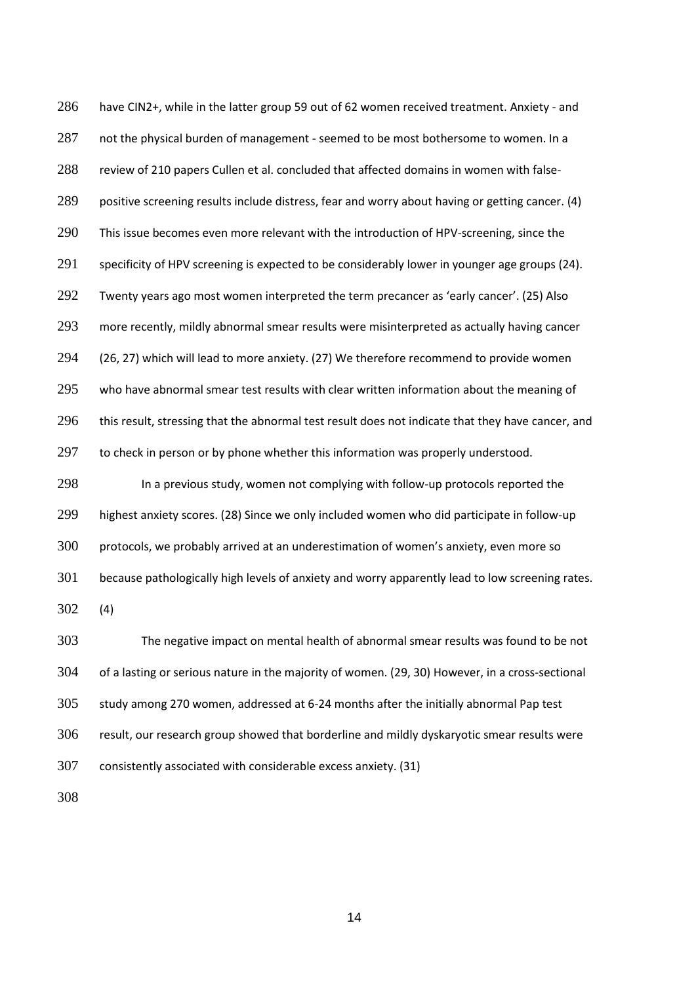have CIN2+, while in the latter group 59 out of 62 women received treatment. Anxiety - and 287 not the physical burden of management - seemed to be most bothersome to women. In a review of 210 papers Cullen et al. concluded that affected domains in women with false-289 positive screening results include distress, fear and worry about having or getting cancer. [\(4\)](#page-18-3) 290 This issue becomes even more relevant with the introduction of HPV-screening, since the specificity of HPV screening is expected to be considerably lower in younger age groups [\(24\)](#page-19-12). Twenty years ago most women interpreted the term precancer as 'early cancer'. [\(25\)](#page-20-0) Also 293 more recently, mildly abnormal smear results were misinterpreted as actually having cancer [\(26,](#page-20-1) [27\)](#page-20-2) which will lead to more anxiety. [\(27\)](#page-20-2) We therefore recommend to provide women 295 who have abnormal smear test results with clear written information about the meaning of 296 this result, stressing that the abnormal test result does not indicate that they have cancer, and 297 to check in person or by phone whether this information was properly understood. In a previous study, women not complying with follow-up protocols reported the

 highest anxiety scores. [\(28\)](#page-20-3) Since we only included women who did participate in follow-up protocols, we probably arrived at an underestimation of women's anxiety, even more so 301 because pathologically high levels of anxiety and worry apparently lead to low screening rates. [\(4\)](#page-18-3)

 The negative impact on mental health of abnormal smear results was found to be not of a lasting or serious nature in the majority of women. [\(29,](#page-20-4) [30\)](#page-20-5) However, in a cross-sectional study among 270 women, addressed at 6-24 months after the initially abnormal Pap test result, our research group showed that borderline and mildly dyskaryotic smear results were consistently associated with considerable excess anxiety. [\(31\)](#page-20-6)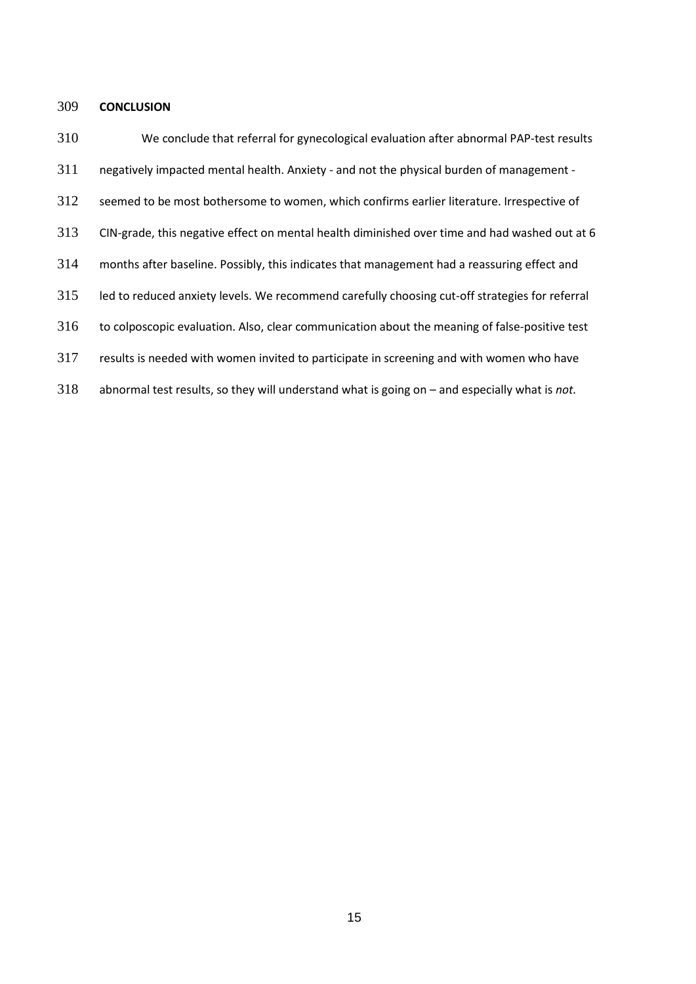# **CONCLUSION**

 We conclude that referral for gynecological evaluation after abnormal PAP-test results negatively impacted mental health. Anxiety - and not the physical burden of management - 312 seemed to be most bothersome to women, which confirms earlier literature. Irrespective of CIN-grade, this negative effect on mental health diminished over time and had washed out at 6 months after baseline. Possibly, this indicates that management had a reassuring effect and led to reduced anxiety levels. We recommend carefully choosing cut-off strategies for referral to colposcopic evaluation. Also, clear communication about the meaning of false-positive test results is needed with women invited to participate in screening and with women who have abnormal test results, so they will understand what is going on – and especially what is *not.*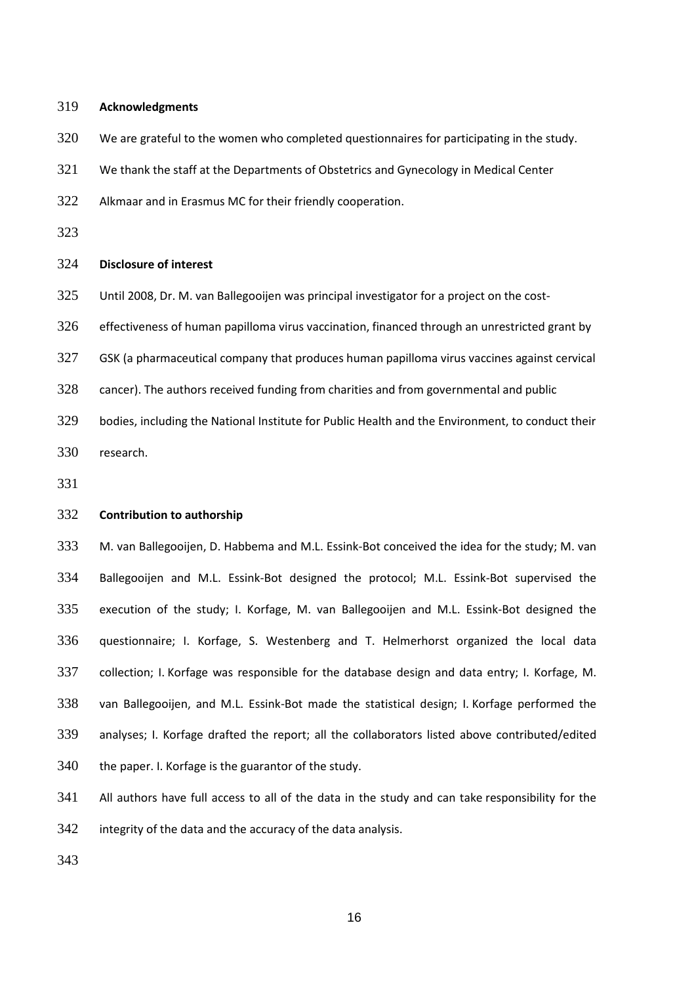## **Acknowledgments**

We are grateful to the women who completed questionnaires for participating in the study.

We thank the staff at the Departments of Obstetrics and Gynecology in Medical Center

Alkmaar and in Erasmus MC for their friendly cooperation.

# **Disclosure of interest**

Until 2008, Dr. M. van Ballegooijen was principal investigator for a project on the cost-

effectiveness of human papilloma virus vaccination, financed through an unrestricted grant by

- GSK (a pharmaceutical company that produces human papilloma virus vaccines against cervical
- cancer). The authors received funding from charities and from governmental and public
- bodies, including the National Institute for Public Health and the Environment, to conduct their research.

# **Contribution to authorship**

 M. van Ballegooijen, D. Habbema and M.L. Essink-Bot conceived the idea for the study; M. van Ballegooijen and M.L. Essink-Bot designed the protocol; M.L. Essink-Bot supervised the execution of the study; I. Korfage, M. van Ballegooijen and M.L. Essink-Bot designed the questionnaire; I. Korfage, S. Westenberg and T. Helmerhorst organized the local data collection; I. Korfage was responsible for the database design and data entry; I. Korfage, M. van Ballegooijen, and M.L. Essink-Bot made the statistical design; I. Korfage performed the analyses; I. Korfage drafted the report; all the collaborators listed above contributed/edited 340 the paper. I. Korfage is the guarantor of the study.

All authors have full access to all of the data in the study and can take responsibility for the

integrity of the data and the accuracy of the data analysis.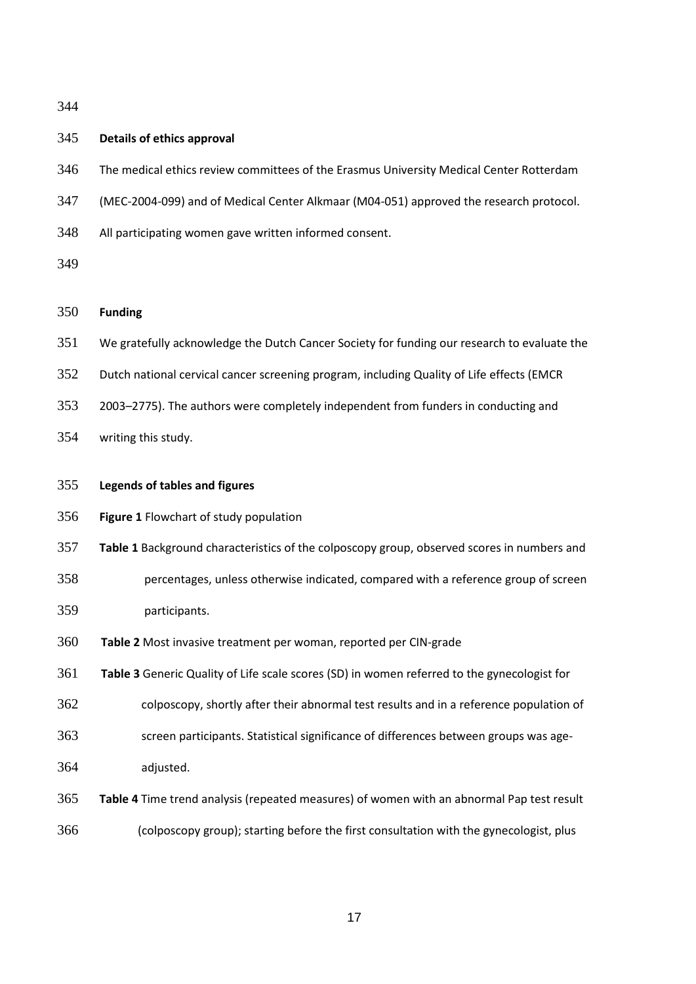# **Details of ethics approval**

- The medical ethics review committees of the Erasmus University Medical Center Rotterdam
- (MEC-2004-099) and of Medical Center Alkmaar (M04-051) approved the research protocol.
- All participating women gave written informed consent.
- 

# **Funding**

- We gratefully acknowledge the Dutch Cancer Society for funding our research to evaluate the
- Dutch national cervical cancer screening program, including Quality of Life effects (EMCR
- 2003–2775). The authors were completely independent from funders in conducting and
- writing this study.
- **Legends of tables and figures**
- **Figure 1** Flowchart of study population
- **Table 1** Background characteristics of the colposcopy group, observed scores in numbers and
- percentages, unless otherwise indicated, compared with a reference group of screen participants.
- **Table 2** Most invasive treatment per woman, reported per CIN-grade
- **Table 3** Generic Quality of Life scale scores (SD) in women referred to the gynecologist for
- colposcopy, shortly after their abnormal test results and in a reference population of
- screen participants. Statistical significance of differences between groups was age-adjusted.
- **Table 4** Time trend analysis (repeated measures) of women with an abnormal Pap test result
- (colposcopy group); starting before the first consultation with the gynecologist, plus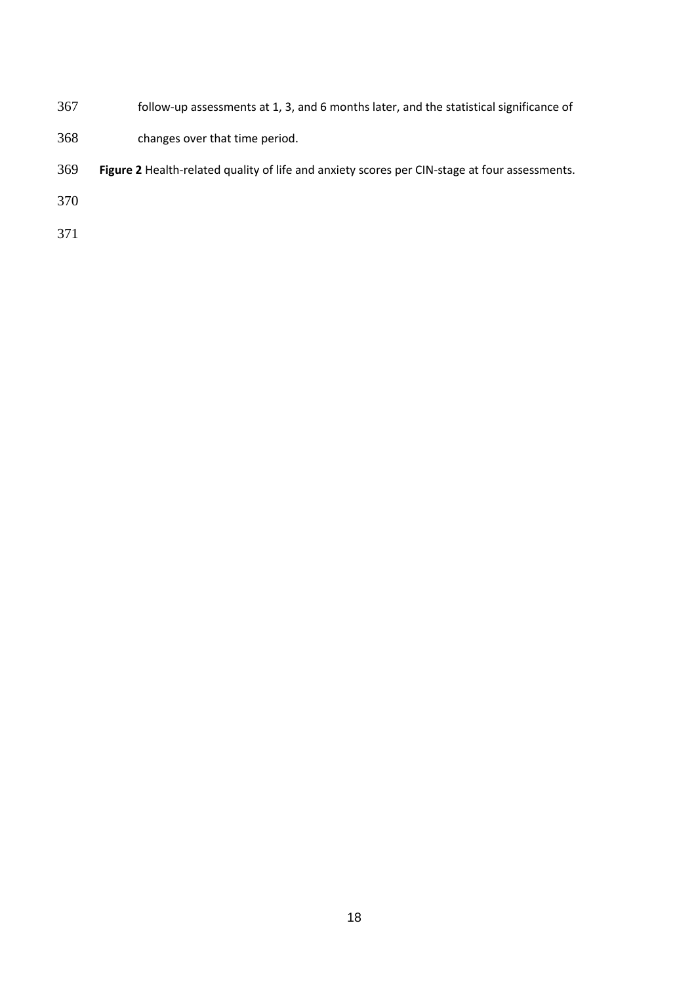- follow-up assessments at 1, 3, and 6 months later, and the statistical significance of
- changes over that time period.
- **Figure 2** Health-related quality of life and anxiety scores per CIN-stage at four assessments.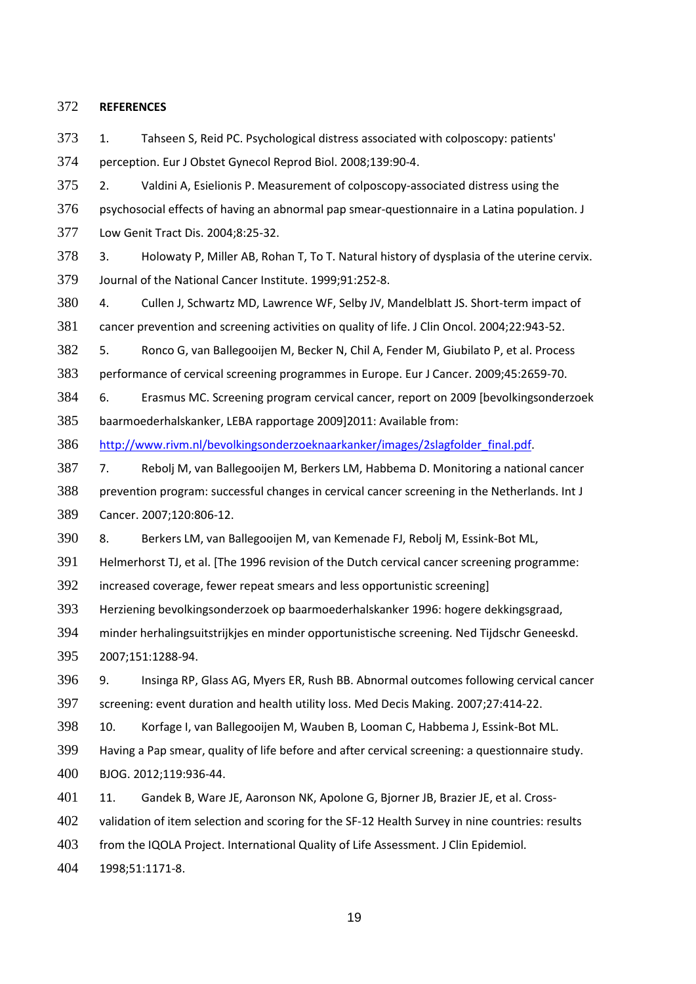### **REFERENCES**

<span id="page-18-0"></span> 1. Tahseen S, Reid PC. Psychological distress associated with colposcopy: patients' perception. Eur J Obstet Gynecol Reprod Biol. 2008;139:90-4.

<span id="page-18-1"></span> 2. Valdini A, Esielionis P. Measurement of colposcopy-associated distress using the psychosocial effects of having an abnormal pap smear-questionnaire in a Latina population. J Low Genit Tract Dis. 2004;8:25-32.

<span id="page-18-2"></span> 3. Holowaty P, Miller AB, Rohan T, To T. Natural history of dysplasia of the uterine cervix. Journal of the National Cancer Institute. 1999;91:252-8.

<span id="page-18-3"></span> 4. Cullen J, Schwartz MD, Lawrence WF, Selby JV, Mandelblatt JS. Short-term impact of cancer prevention and screening activities on quality of life. J Clin Oncol. 2004;22:943-52.

<span id="page-18-4"></span>5. Ronco G, van Ballegooijen M, Becker N, Chil A, Fender M, Giubilato P, et al. Process

performance of cervical screening programmes in Europe. Eur J Cancer. 2009;45:2659-70.

<span id="page-18-5"></span> 6. Erasmus MC. Screening program cervical cancer, report on 2009 [bevolkingsonderzoek baarmoederhalskanker, LEBA rapportage 2009]2011: Available from:

[http://www.rivm.nl/bevolkingsonderzoeknaarkanker/images/2slagfolder\\_final.pdf.](http://www.rivm.nl/bevolkingsonderzoeknaarkanker/images/2slagfolder_final.pdf)

<span id="page-18-6"></span> 7. Rebolj M, van Ballegooijen M, Berkers LM, Habbema D. Monitoring a national cancer prevention program: successful changes in cervical cancer screening in the Netherlands. Int J Cancer. 2007;120:806-12.

8. Berkers LM, van Ballegooijen M, van Kemenade FJ, Rebolj M, Essink-Bot ML,

Helmerhorst TJ, et al. [The 1996 revision of the Dutch cervical cancer screening programme:

increased coverage, fewer repeat smears and less opportunistic screening]

Herziening bevolkingsonderzoek op baarmoederhalskanker 1996: hogere dekkingsgraad,

minder herhalingsuitstrijkjes en minder opportunistische screening. Ned Tijdschr Geneeskd.

2007;151:1288-94.

<span id="page-18-7"></span> 9. Insinga RP, Glass AG, Myers ER, Rush BB. Abnormal outcomes following cervical cancer screening: event duration and health utility loss. Med Decis Making. 2007;27:414-22.

<span id="page-18-8"></span>10. Korfage I, van Ballegooijen M, Wauben B, Looman C, Habbema J, Essink-Bot ML.

 Having a Pap smear, quality of life before and after cervical screening: a questionnaire study. BJOG. 2012;119:936-44.

<span id="page-18-9"></span>401 11. Gandek B, Ware JE, Aaronson NK, Apolone G, Bjorner JB, Brazier JE, et al. Cross-

402 validation of item selection and scoring for the SF-12 Health Survey in nine countries: results

from the IQOLA Project. International Quality of Life Assessment. J Clin Epidemiol.

1998;51:1171-8.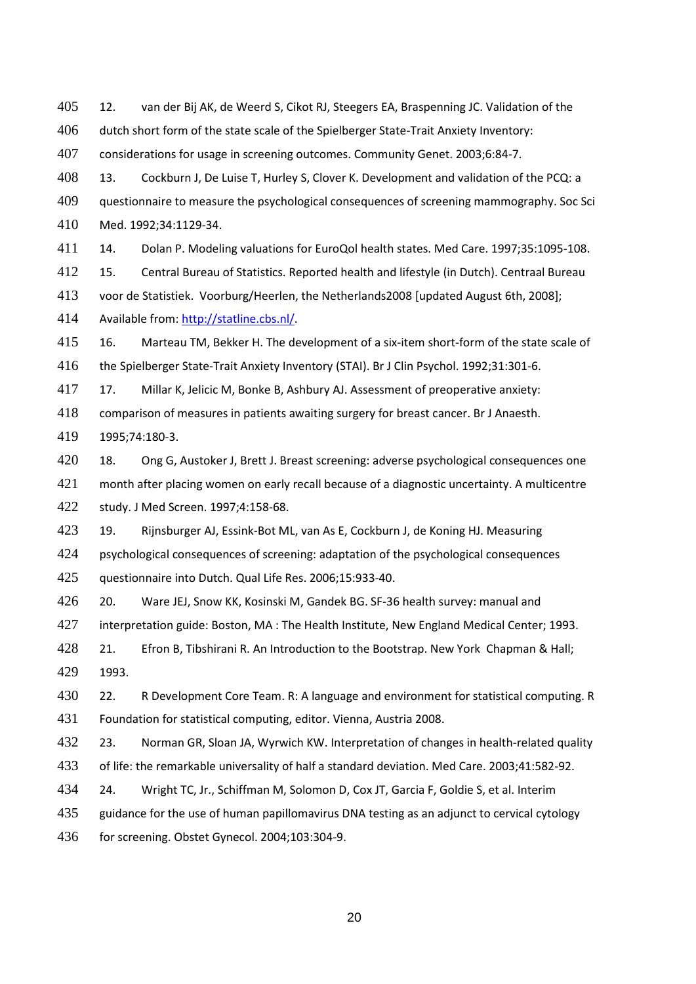<span id="page-19-0"></span>12. van der Bij AK, de Weerd S, Cikot RJ, Steegers EA, Braspenning JC. Validation of the

dutch short form of the state scale of the Spielberger State-Trait Anxiety Inventory:

considerations for usage in screening outcomes. Community Genet. 2003;6:84-7.

<span id="page-19-1"></span> 13. Cockburn J, De Luise T, Hurley S, Clover K. Development and validation of the PCQ: a questionnaire to measure the psychological consequences of screening mammography. Soc Sci

Med. 1992;34:1129-34.

<span id="page-19-2"></span>14. Dolan P. Modeling valuations for EuroQol health states. Med Care. 1997;35:1095-108.

<span id="page-19-3"></span>15. Central Bureau of Statistics. Reported health and lifestyle (in Dutch). Centraal Bureau

voor de Statistiek. Voorburg/Heerlen, the Netherlands2008 [updated August 6th, 2008];

Available from[: http://statline.cbs.nl/.](http://statline.cbs.nl/)

<span id="page-19-4"></span>16. Marteau TM, Bekker H. The development of a six-item short-form of the state scale of

the Spielberger State-Trait Anxiety Inventory (STAI). Br J Clin Psychol. 1992;31:301-6.

<span id="page-19-5"></span>17. Millar K, Jelicic M, Bonke B, Ashbury AJ. Assessment of preoperative anxiety:

 comparison of measures in patients awaiting surgery for breast cancer. Br J Anaesth. 1995;74:180-3.

<span id="page-19-6"></span>420 18. Ong G, Austoker J, Brett J. Breast screening: adverse psychological consequences one month after placing women on early recall because of a diagnostic uncertainty. A multicentre study. J Med Screen. 1997;4:158-68.

<span id="page-19-7"></span>19. Rijnsburger AJ, Essink-Bot ML, van As E, Cockburn J, de Koning HJ. Measuring

psychological consequences of screening: adaptation of the psychological consequences

questionnaire into Dutch. Qual Life Res. 2006;15:933-40.

<span id="page-19-8"></span> 20. Ware JEJ, Snow KK, Kosinski M, Gandek BG. SF-36 health survey: manual and 427 interpretation guide: Boston, MA: The Health Institute, New England Medical Center; 1993.

<span id="page-19-9"></span> 21. Efron B, Tibshirani R. An Introduction to the Bootstrap. New York Chapman & Hall; 1993.

<span id="page-19-10"></span>430 22. R Development Core Team. R: A language and environment for statistical computing. R Foundation for statistical computing, editor. Vienna, Austria 2008.

<span id="page-19-11"></span>432 23. Norman GR, Sloan JA, Wyrwich KW. Interpretation of changes in health-related quality of life: the remarkable universality of half a standard deviation. Med Care. 2003;41:582-92.

<span id="page-19-12"></span>24. Wright TC, Jr., Schiffman M, Solomon D, Cox JT, Garcia F, Goldie S, et al. Interim

guidance for the use of human papillomavirus DNA testing as an adjunct to cervical cytology

for screening. Obstet Gynecol. 2004;103:304-9.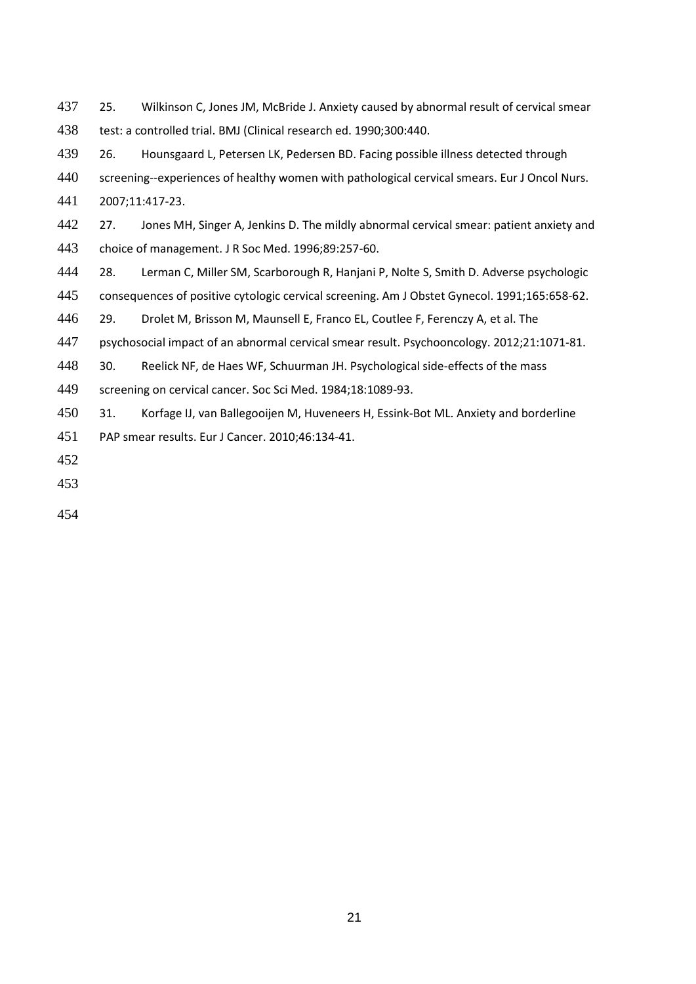<span id="page-20-0"></span>437 25. Wilkinson C, Jones JM, McBride J. Anxiety caused by abnormal result of cervical smear test: a controlled trial. BMJ (Clinical research ed. 1990;300:440.

<span id="page-20-1"></span>26. Hounsgaard L, Petersen LK, Pedersen BD. Facing possible illness detected through

screening--experiences of healthy women with pathological cervical smears. Eur J Oncol Nurs.

2007;11:417-23.

<span id="page-20-2"></span>442 27. Jones MH, Singer A, Jenkins D. The mildly abnormal cervical smear: patient anxiety and choice of management. J R Soc Med. 1996;89:257-60.

<span id="page-20-3"></span>28. Lerman C, Miller SM, Scarborough R, Hanjani P, Nolte S, Smith D. Adverse psychologic

consequences of positive cytologic cervical screening. Am J Obstet Gynecol. 1991;165:658-62.

<span id="page-20-4"></span>29. Drolet M, Brisson M, Maunsell E, Franco EL, Coutlee F, Ferenczy A, et al. The

psychosocial impact of an abnormal cervical smear result. Psychooncology. 2012;21:1071-81.

<span id="page-20-5"></span>30. Reelick NF, de Haes WF, Schuurman JH. Psychological side-effects of the mass

screening on cervical cancer. Soc Sci Med. 1984;18:1089-93.

<span id="page-20-6"></span> 31. Korfage IJ, van Ballegooijen M, Huveneers H, Essink-Bot ML. Anxiety and borderline PAP smear results. Eur J Cancer. 2010;46:134-41.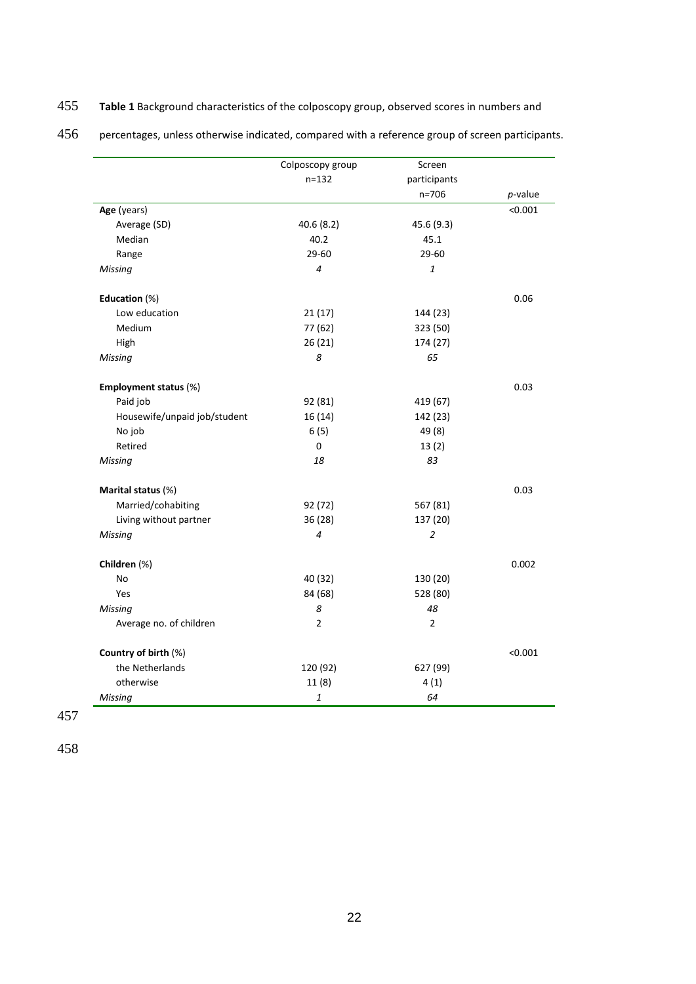# 455 **Table 1** Background characteristics of the colposcopy group, observed scores in numbers and

456 percentages, unless otherwise indicated, compared with a reference group of screen participants.

|                              | Colposcopy group                                      | Screen         |            |
|------------------------------|-------------------------------------------------------|----------------|------------|
|                              | $n = 132$                                             | participants   |            |
|                              |                                                       | $n = 706$      | $p$ -value |
| Age (years)                  |                                                       |                | < 0.001    |
| Average (SD)                 | 40.6(8.2)                                             | 45.6 (9.3)     |            |
| Median                       | 40.2                                                  | 45.1           |            |
| Range                        | 29-60                                                 | 29-60          |            |
| <b>Missing</b>               | 4                                                     | 1              |            |
| Education (%)                |                                                       |                | 0.06       |
| Low education                | 21(17)                                                | 144 (23)       |            |
| Medium                       | 77 (62)                                               | 323 (50)       |            |
| High                         | 26(21)                                                | 174 (27)       |            |
| Missing                      | 8                                                     | 65             |            |
| Employment status (%)        |                                                       |                | 0.03       |
| Paid job                     | 92 (81)                                               | 419 (67)       |            |
| Housewife/unpaid job/student | 16 (14)                                               | 142 (23)       |            |
| No job                       | 6(5)                                                  | 49 (8)         |            |
| Retired                      | 0                                                     | 13(2)          |            |
| <b>Missing</b>               | 18                                                    | 83             |            |
| Marital status (%)           |                                                       |                | 0.03       |
| Married/cohabiting           | 92 (72)                                               | 567 (81)       |            |
| Living without partner       | 36 (28)                                               | 137 (20)       |            |
| Missing                      | 4                                                     | 2              |            |
| Children (%)                 |                                                       |                | 0.002      |
| <b>No</b>                    | 40 (32)                                               | 130 (20)       |            |
| Yes                          | 84 (68)                                               | 528 (80)       |            |
| <b>Missing</b>               | 8                                                     | 48             |            |
| Average no. of children      | 2                                                     | $\overline{2}$ |            |
| Country of birth (%)         |                                                       |                | < 0.001    |
| the Netherlands              | 120 (92)                                              | 627 (99)       |            |
| otherwise                    | 11(8)                                                 | 4(1)           |            |
| Missing                      | $\mathbf{1}% _{T}=\mathbf{1}_{T}\times\mathbf{1}_{T}$ | 64             |            |

457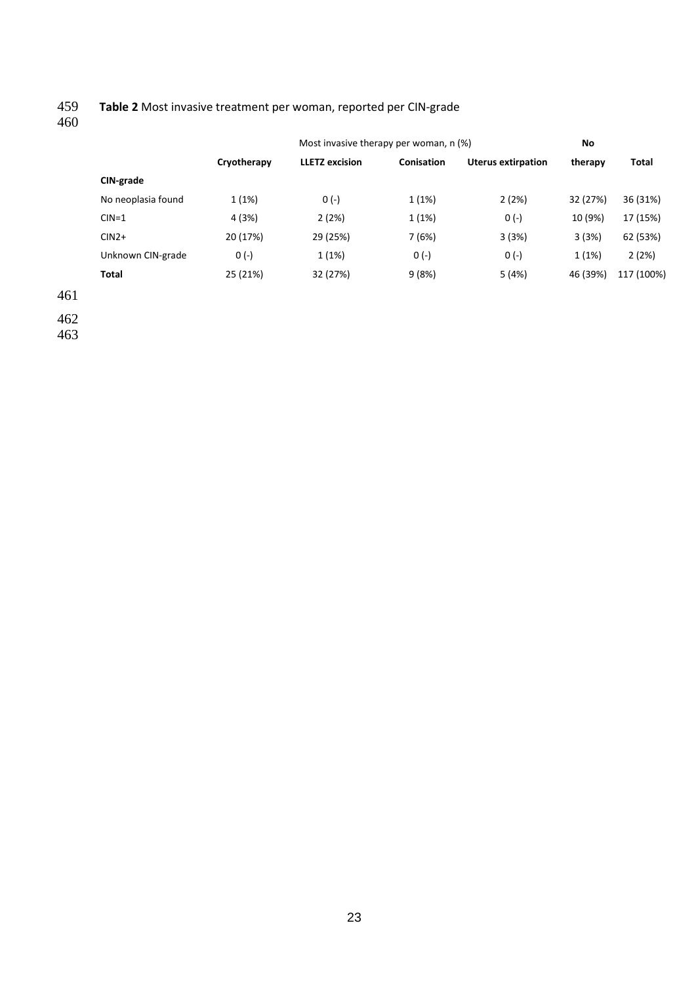# 459 **Table 2** Most invasive treatment per woman, reported per CIN-grade

460

|                    | Cryotherapy | <b>LLETZ</b> excision | Conisation |                           |          |            |
|--------------------|-------------|-----------------------|------------|---------------------------|----------|------------|
|                    |             |                       |            | <b>Uterus extirpation</b> | therapy  | Total      |
| CIN-grade          |             |                       |            |                           |          |            |
| No neoplasia found | 1(1%)       | $0(-)$                | 1(1%)      | 2(2%)                     | 32 (27%) | 36 (31%)   |
| $CIN=1$            | 4 (3%)      | 2(2%)                 | 1(1%)      | $0(-)$                    | 10 (9%)  | 17 (15%)   |
| $CIN2+$            | 20 (17%)    | 29 (25%)              | 7(6%)      | 3(3%)                     | 3(3%)    | 62 (53%)   |
| Unknown CIN-grade  | $0(-)$      | 1(1%)                 | $0(-)$     | $0(-)$                    | 1(1%)    | 2(2%)      |
| <b>Total</b>       | 25 (21%)    | 32 (27%)              | 9(8%)      | 5 (4%)                    | 46 (39%) | 117 (100%) |

461 462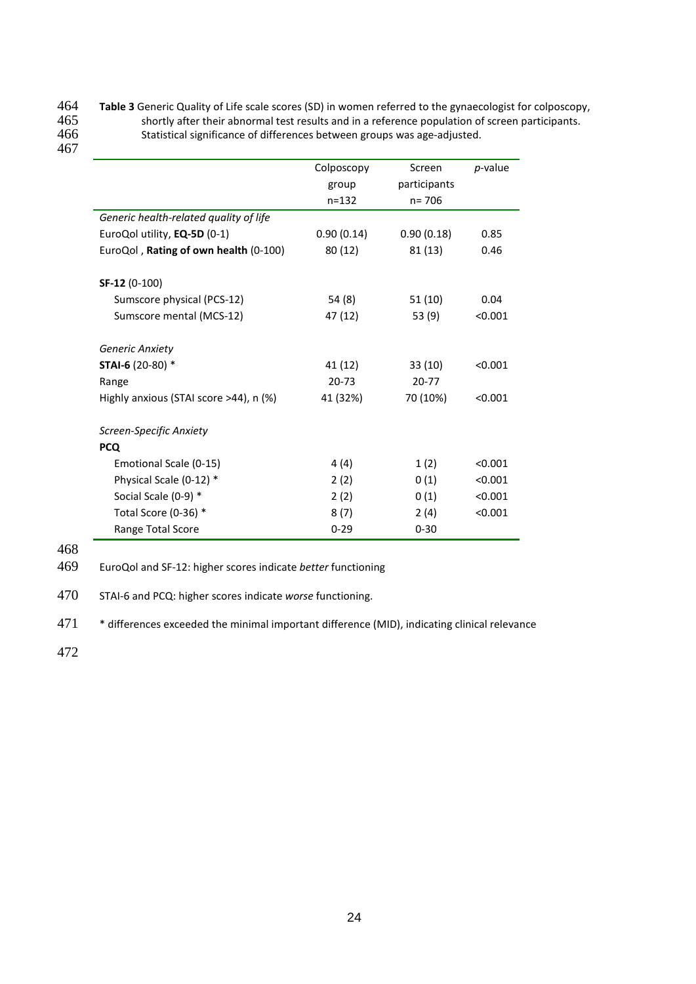# **Table 3** Generic Quality of Life scale scores (SD) in women referred to the gynaecologist for colposcopy,<br>465 shortly after their abnormal test results and in a reference population of screen participants. 465 shortly after their abnormal test results and in a reference population of screen participants.<br>466 Statistical significance of differences between groups was age-adjusted. Statistical significance of differences between groups was age-adjusted. 467

|                                        | Colposcopy | Screen       | <i>p</i> -value |
|----------------------------------------|------------|--------------|-----------------|
|                                        | group      | participants |                 |
|                                        | $n = 132$  | $n = 706$    |                 |
| Generic health-related quality of life |            |              |                 |
| EuroQol utility, EQ-5D (0-1)           | 0.90(0.14) | 0.90(0.18)   | 0.85            |
| EuroQol, Rating of own health (0-100)  | 80 (12)    | 81 (13)      | 0.46            |
| SF-12 (0-100)                          |            |              |                 |
| Sumscore physical (PCS-12)             | 54 (8)     | 51 (10)      | 0.04            |
| Sumscore mental (MCS-12)               | 47 (12)    | 53 (9)       | < 0.001         |
| Generic Anxiety                        |            |              |                 |
| STAI-6 (20-80) *                       | 41 (12)    | 33 (10)      | < 0.001         |
| Range                                  | $20 - 73$  | $20 - 77$    |                 |
| Highly anxious (STAI score >44), n (%) | 41 (32%)   | 70 (10%)     | < 0.001         |
| Screen-Specific Anxiety                |            |              |                 |
| <b>PCQ</b>                             |            |              |                 |
| Emotional Scale (0-15)                 | 4(4)       | 1(2)         | < 0.001         |
| Physical Scale (0-12) *                | 2(2)       | 0(1)         | < 0.001         |
| Social Scale (0-9) *                   | 2(2)       | 0(1)         | < 0.001         |
| Total Score (0-36) *                   | 8(7)       | 2(4)         | < 0.001         |
| Range Total Score                      | $0 - 29$   | $0 - 30$     |                 |

468

469 EuroQol and SF-12: higher scores indicate *better* functioning

470 STAI-6 and PCQ: higher scores indicate *worse* functioning.

471 \* differences exceeded the minimal important difference (MID), indicating clinical relevance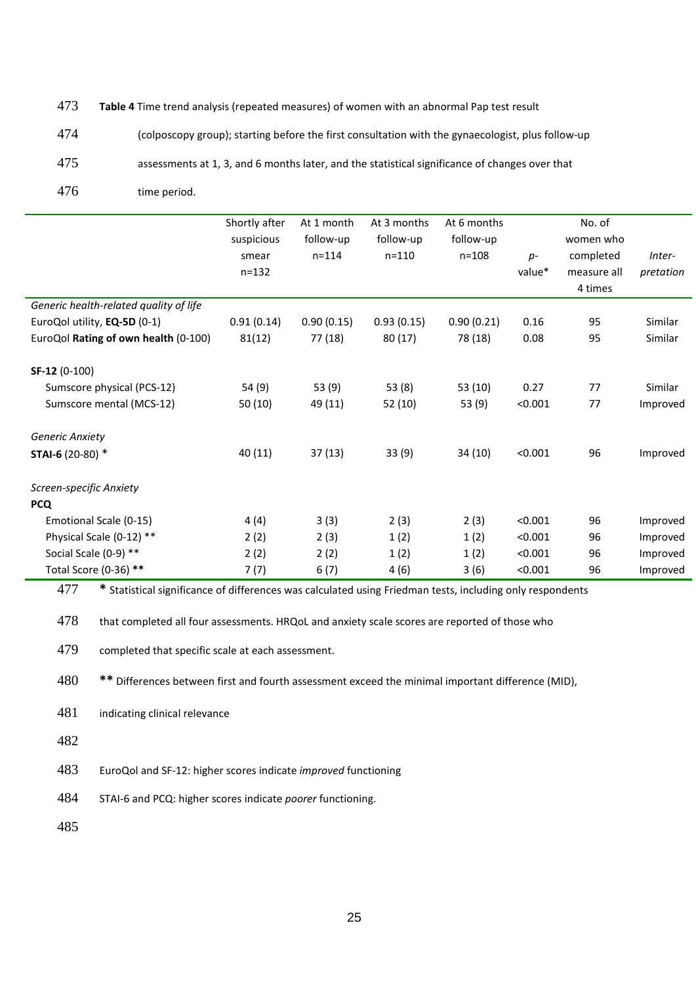# 473 **Table 4** Time trend analysis (repeated measures) of women with an abnormal Pap test result

474 (colposcopy group); starting before the first consultation with the gynaecologist, plus follow-up

475 assessments at 1, 3, and 6 months later, and the statistical significance of changes over that

476 time period.

|                                        | Shortly after | At 1 month | At 3 months | At 6 months |         | No. of      |           |
|----------------------------------------|---------------|------------|-------------|-------------|---------|-------------|-----------|
|                                        | suspicious    | follow-up  | follow-up   | follow-up   |         | women who   |           |
|                                        | smear         | $n = 114$  | $n = 110$   | $n = 108$   | $p-$    | completed   | Inter-    |
|                                        | $n = 132$     |            |             |             | value*  | measure all | pretation |
|                                        |               |            |             |             |         | 4 times     |           |
| Generic health-related quality of life |               |            |             |             |         |             |           |
| EuroQol utility, EQ-5D (0-1)           | 0.91(0.14)    | 0.90(0.15) | 0.93(0.15)  | 0.90(0.21)  | 0.16    | 95          | Similar   |
| EuroQol Rating of own health (0-100)   | 81(12)        | 77 (18)    | 80(17)      | 78 (18)     | 0.08    | 95          | Similar   |
| SF-12 (0-100)                          |               |            |             |             |         |             |           |
| Sumscore physical (PCS-12)             | 54 (9)        | 53 (9)     | 53(8)       | 53 (10)     | 0.27    | 77          | Similar   |
| Sumscore mental (MCS-12)               | 50 (10)       | 49 (11)    | 52(10)      | 53 (9)      | < 0.001 | 77          | Improved  |
| <b>Generic Anxiety</b>                 |               |            |             |             |         |             |           |
| STAI-6 (20-80) *                       | 40 (11)       | 37(13)     | 33(9)       | 34 (10)     | < 0.001 | 96          | Improved  |
| Screen-specific Anxiety                |               |            |             |             |         |             |           |
| <b>PCQ</b>                             |               |            |             |             |         |             |           |
| Emotional Scale (0-15)                 | 4(4)          | 3(3)       | 2(3)        | 2(3)        | < 0.001 | 96          | Improved  |
| Physical Scale (0-12) **               | 2(2)          | 2(3)       | 1(2)        | 1(2)        | < 0.001 | 96          | Improved  |
| Social Scale (0-9) **                  | 2(2)          | 2(2)       | 1(2)        | 1(2)        | < 0.001 | 96          | Improved  |
| Total Score (0-36) **                  | 7(7)          | 6(7)       | 4(6)        | 3(6)        | < 0.001 | 96          | Improved  |

477 **\*** Statistical significance of differences was calculated using Friedman tests, including only respondents

478 that completed all four assessments. HRQoL and anxiety scale scores are reported of those who

479 completed that specific scale at each assessment.

480 **\*\*** Differences between first and fourth assessment exceed the minimal important difference (MID),

- 481 indicating clinical relevance
- 482

483 EuroQol and SF-12: higher scores indicate *improved* functioning

484 STAI-6 and PCQ: higher scores indicate *poorer* functioning.